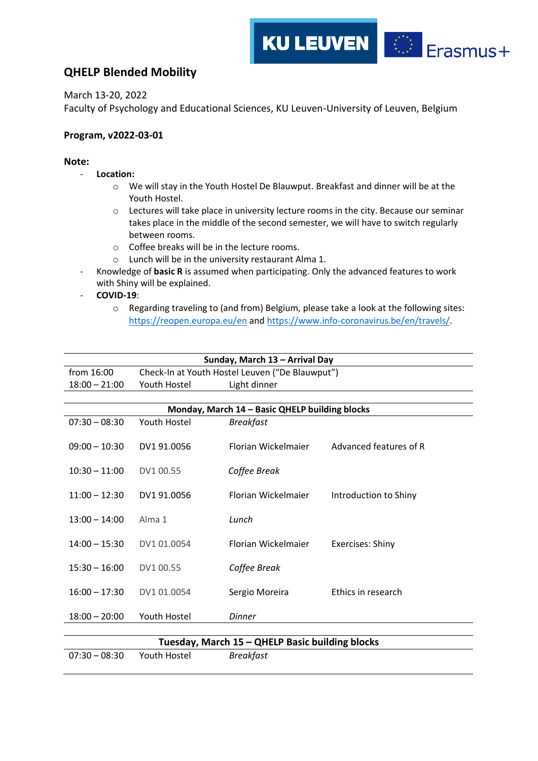## **KU LEUVEN**  $\begin{array}{cc} \star^{\star} \star_{\star} & \star \\ \star & \star \\ \star_{\star} & \star \end{array}$ Erasmus+

## **QHELP Blended Mobility**

March 13-20, 2022

Faculty of Psychology and Educational Sciences, KU Leuven-University of Leuven, Belgium

## **Program, v2022-03-01**

## **Note:**

- **Location:**
	- o We will stay in the Youth Hostel De Blauwput. Breakfast and dinner will be at the Youth Hostel.
	- o Lectures will take place in university lecture rooms in the city. Because our seminar takes place in the middle of the second semester, we will have to switch regularly between rooms.
	- o Coffee breaks will be in the lecture rooms.
	- o Lunch will be in the university restaurant Alma 1.
- Knowledge of **basic R** is assumed when participating. Only the advanced features to work with Shiny will be explained.
- **COVID-19**:
	- o Regarding traveling to (and from) Belgium, please take a look at the following sites: <https://reopen.europa.eu/en> and [https://www.info-coronavirus.be/en/travels/.](https://www.info-coronavirus.be/en/travels/)

|                 |              | Sunday, March 13 - Arrival Day                  |                         |
|-----------------|--------------|-------------------------------------------------|-------------------------|
| from 16:00      |              | Check-In at Youth Hostel Leuven ("De Blauwput") |                         |
| $18:00 - 21:00$ | Youth Hostel | Light dinner                                    |                         |
|                 |              |                                                 |                         |
|                 |              | Monday, March 14 - Basic QHELP building blocks  |                         |
| $07:30 - 08:30$ | Youth Hostel | <b>Breakfast</b>                                |                         |
|                 |              |                                                 |                         |
| $09:00 - 10:30$ | DV1 91.0056  | Florian Wickelmaier                             | Advanced features of R  |
|                 |              |                                                 |                         |
| $10:30 - 11:00$ | DV1 00.55    | Coffee Break                                    |                         |
| $11:00 - 12:30$ | DV1 91.0056  | Florian Wickelmaier                             | Introduction to Shiny   |
|                 |              |                                                 |                         |
| $13:00 - 14:00$ | Alma 1       | Lunch                                           |                         |
|                 |              |                                                 |                         |
| $14:00 - 15:30$ | DV1 01.0054  | Florian Wickelmaier                             | <b>Exercises: Shiny</b> |
|                 |              |                                                 |                         |
| $15:30 - 16:00$ | DV1 00.55    | Coffee Break                                    |                         |
|                 |              |                                                 |                         |
| $16:00 - 17:30$ | DV1 01.0054  | Sergio Moreira                                  | Ethics in research      |
|                 |              |                                                 |                         |
| $18:00 - 20:00$ | Youth Hostel | <b>Dinner</b>                                   |                         |
|                 |              |                                                 |                         |
|                 |              | Tuesday, March 15 - QHELP Basic building blocks |                         |
| $07:30 - 08:30$ | Youth Hostel | <b>Breakfast</b>                                |                         |
|                 |              |                                                 |                         |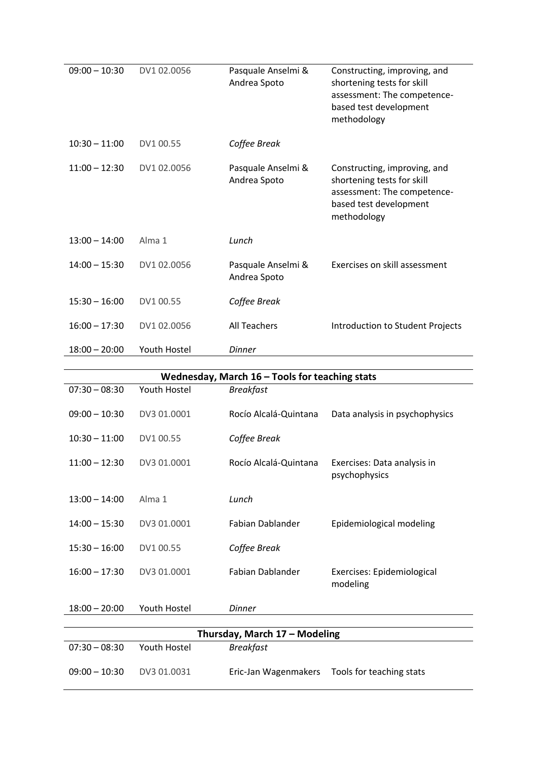| $09:00 - 10:30$ | DV1 02.0056  | Pasquale Anselmi &<br>Andrea Spoto | Constructing, improving, and<br>shortening tests for skill<br>assessment: The competence-<br>based test development<br>methodology |
|-----------------|--------------|------------------------------------|------------------------------------------------------------------------------------------------------------------------------------|
| $10:30 - 11:00$ | DV1 00.55    | Coffee Break                       |                                                                                                                                    |
| $11:00 - 12:30$ | DV1 02.0056  | Pasquale Anselmi &<br>Andrea Spoto | Constructing, improving, and<br>shortening tests for skill<br>assessment: The competence-<br>based test development<br>methodology |
| $13:00 - 14:00$ | Alma 1       | Lunch                              |                                                                                                                                    |
| $14:00 - 15:30$ | DV1 02.0056  | Pasquale Anselmi &<br>Andrea Spoto | Exercises on skill assessment                                                                                                      |
| $15:30 - 16:00$ | DV1 00.55    | Coffee Break                       |                                                                                                                                    |
| $16:00 - 17:30$ | DV1 02.0056  | <b>All Teachers</b>                | Introduction to Student Projects                                                                                                   |
| $18:00 - 20:00$ | Youth Hostel | <b>Dinner</b>                      |                                                                                                                                    |

|                 |              | Wednesday, March $16$ – Tools for teaching stats |                                              |
|-----------------|--------------|--------------------------------------------------|----------------------------------------------|
| $07:30 - 08:30$ | Youth Hostel | <b>Breakfast</b>                                 |                                              |
| $09:00 - 10:30$ | DV3 01.0001  | Rocío Alcalá-Quintana                            | Data analysis in psychophysics               |
| $10:30 - 11:00$ | DV1 00.55    | Coffee Break                                     |                                              |
| $11:00 - 12:30$ | DV3 01.0001  | Rocío Alcalá-Quintana                            | Exercises: Data analysis in<br>psychophysics |
| $13:00 - 14:00$ | Alma 1       | Lunch                                            |                                              |
| $14:00 - 15:30$ | DV3 01.0001  | Fabian Dablander                                 | Epidemiological modeling                     |
| $15:30 - 16:00$ | DV1 00.55    | Coffee Break                                     |                                              |
| $16:00 - 17:30$ | DV3 01.0001  | <b>Fabian Dablander</b>                          | Exercises: Epidemiological<br>modeling       |
| $18:00 - 20:00$ | Youth Hostel | <b>Dinner</b>                                    |                                              |
|                 |              |                                                  |                                              |
|                 |              | Thursday, March 17 - Modeling                    |                                              |
| $07:30 - 08:30$ | Youth Hostel | <b>Breakfast</b>                                 |                                              |
| $09:00 - 10:30$ | DV3 01.0031  | Eric-Jan Wagenmakers                             | Tools for teaching stats                     |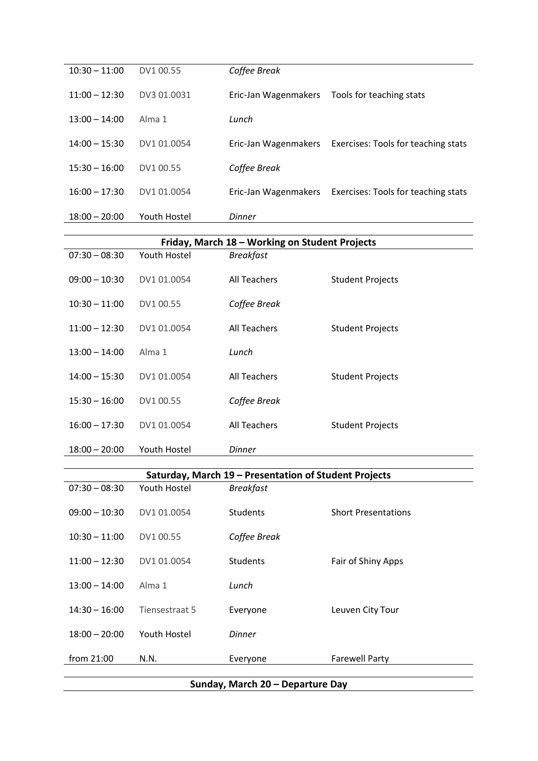| $10:30 - 11:00$ | DV1 00.55    | Coffee Break         |                                                          |
|-----------------|--------------|----------------------|----------------------------------------------------------|
| $11:00 - 12:30$ | DV3 01.0031  | Eric-Jan Wagenmakers | Tools for teaching stats                                 |
| $13:00 - 14:00$ | Alma 1       | Lunch                |                                                          |
| $14:00 - 15:30$ | DV1 01.0054  |                      | Eric-Jan Wagenmakers Exercises: Tools for teaching stats |
| $15:30 - 16:00$ | DV1 00.55    | Coffee Break         |                                                          |
| $16:00 - 17:30$ | DV1 01.0054  | Eric-Jan Wagenmakers | Exercises: Tools for teaching stats                      |
| $18:00 - 20:00$ | Youth Hostel | Dinner               |                                                          |

|                 |                | Friday, March 18 - Working on Student Projects        |                            |
|-----------------|----------------|-------------------------------------------------------|----------------------------|
| $07:30 - 08:30$ | Youth Hostel   | <b>Breakfast</b>                                      |                            |
| $09:00 - 10:30$ | DV1 01.0054    | <b>All Teachers</b>                                   | <b>Student Projects</b>    |
| $10:30 - 11:00$ | DV1 00.55      | Coffee Break                                          |                            |
| $11:00 - 12:30$ | DV1 01.0054    | All Teachers                                          | <b>Student Projects</b>    |
| $13:00 - 14:00$ | Alma 1         | Lunch                                                 |                            |
| $14:00 - 15:30$ | DV1 01.0054    | All Teachers                                          | <b>Student Projects</b>    |
| $15:30 - 16:00$ | DV1 00.55      | Coffee Break                                          |                            |
| $16:00 - 17:30$ | DV1 01.0054    | <b>All Teachers</b>                                   | <b>Student Projects</b>    |
| $18:00 - 20:00$ | Youth Hostel   | Dinner                                                |                            |
|                 |                | Saturday, March 19 - Presentation of Student Projects |                            |
| $07:30 - 08:30$ | Youth Hostel   | <b>Breakfast</b>                                      |                            |
| $09:00 - 10:30$ | DV1 01.0054    | <b>Students</b>                                       | <b>Short Presentations</b> |
| $10:30 - 11:00$ | DV1 00.55      | Coffee Break                                          |                            |
| $11:00 - 12:30$ | DV1 01.0054    | Students                                              | Fair of Shiny Apps         |
| $13:00 - 14:00$ | Alma 1         | Lunch                                                 |                            |
| $14:30 - 16:00$ | Tiensestraat 5 | Everyone                                              | Leuven City Tour           |
| $18:00 - 20:00$ | Youth Hostel   | Dinner                                                |                            |
| from 21:00      | N.N.           | Everyone                                              | <b>Farewell Party</b>      |
|                 |                | Sunday, March 20 - Departure Day                      |                            |
|                 |                |                                                       |                            |